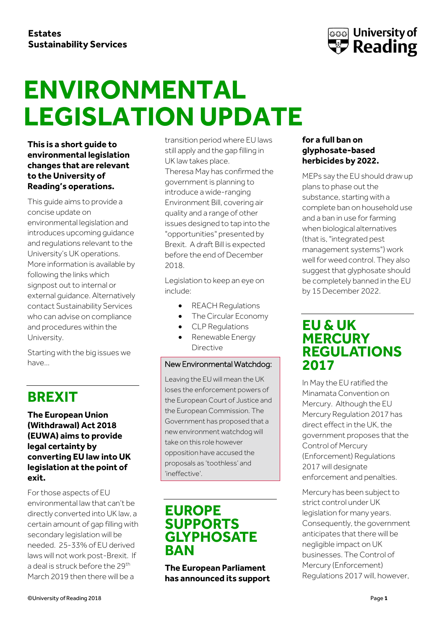

# ENVIRONMENTAL **LEGISLATION UPDATE**

**This is a short guide to environmental legislation changes that are relevant to the University of Reading's operations.**

This guide aims to provide a concise update on environmental legislation and introduces upcoming guidance and regulations relevant to the University's UK operations. More information is available by following the links which signpost out to internal or external guidance. Alternatively contact Sustainability Services who can advise on compliance and procedures within the University.

Starting with the big issues we have…

## **BREXIT**

#### **The European Union (Withdrawal) Act 2018 (EUWA) aims to provide legal certainty by converting EU law into UK legislation at the point of exit.**

For those aspects of EU environmental law that can't be directly converted into UK law, a certain amount of gap filling with secondary legislation will be needed. 25-33% of EU derived laws will not work post-Brexit. If a deal is struck before the 29th March 2019 then there will be a

transition period where EU laws still apply and the gap filling in UK law takes place. Theresa May has confirmed the government is planning to introduce a wide-ranging Environment Bill, covering air quality and a range of other issues designed to tap into the "opportunities" presented by Brexit. A draft Bill is expected before the end of December 2018.

Legislation to keep an eye on include:

- REACH Regulations
- The Circular Economy
- CLP Regulations
- Renewable Energy Directive

#### New Environmental Watchdog:

Leaving the EU will mean the UK loses the enforcement powers of the European Court of Justice and the European Commission. The Government has proposed that a new environment watchdog will take on this role however opposition have accused the proposals as 'toothless' and 'ineffective'.

## **EUROPE SUPPORTS GLYPHOSATE BAN**

**The European Parliament has announced its support** 

#### **for a full ban on glyphosate-based herbicides by 2022.**

MEPs say the EU should draw up plans to phase out the substance, starting with a complete ban on household use and a ban in use for farming when biological alternatives (that is, "integrated pest management systems") work well for weed control. They also suggest that glyphosate should be completely banned in the EU by 15 December 2022.

### **EU & UK MERCURY REGULATIONS 2017**

In May the EU ratified the Minamata Convention on Mercury. Although the EU Mercury Regulation 2017 has direct effect in the UK, the government proposes that the Control of Mercury (Enforcement) Regulations 2017 will designate enforcement and penalties.

Mercury has been subject to strict control under UK legislation for many years. Consequently, the government anticipates that there will be negligible impact on UK businesses. The Control of Mercury (Enforcement) Regulations 2017 will, however,